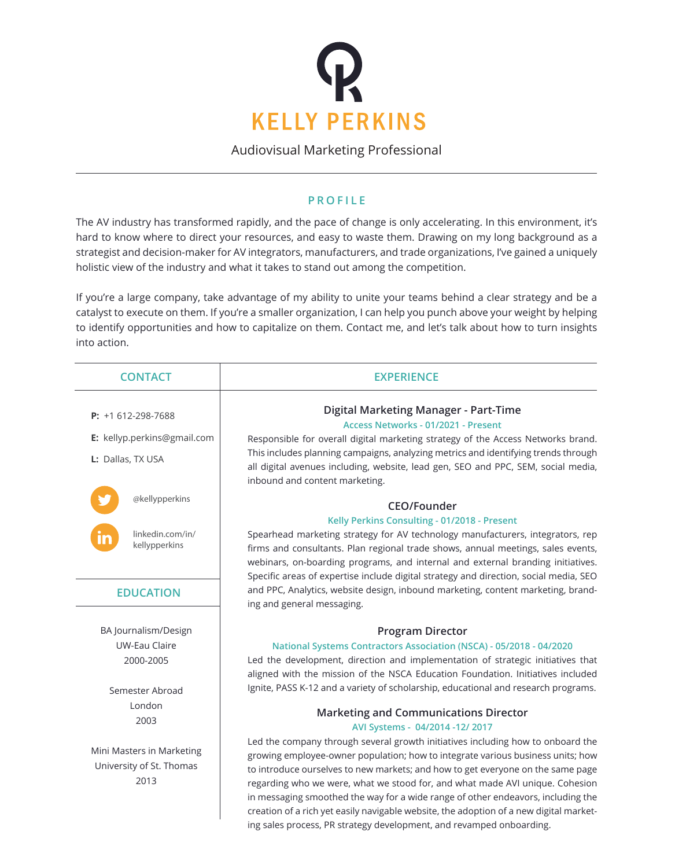

Audiovisual Marketing Professional

## **PROFILE**

The AV industry has transformed rapidly, and the pace of change is only accelerating. In this environment, it's hard to know where to direct your resources, and easy to waste them. Drawing on my long background as a strategist and decision-maker for AV integrators, manufacturers, and trade organizations, I've gained a uniquely holistic view of the industry and what it takes to stand out among the competition.

If you're a large company, take advantage of my ability to unite your teams behind a clear strategy and be a catalyst to execute on them. If you're a smaller organization, I can help you punch above your weight by helping to identify opportunities and how to capitalize on them. Contact me, and let's talk about how to turn insights into action.

| <b>CONTACT</b>                                                | <b>EXPERIENCE</b>                                                                                                                                                                                                                                                                                                                                                                                                                                                                                                                                                                           |
|---------------------------------------------------------------|---------------------------------------------------------------------------------------------------------------------------------------------------------------------------------------------------------------------------------------------------------------------------------------------------------------------------------------------------------------------------------------------------------------------------------------------------------------------------------------------------------------------------------------------------------------------------------------------|
| <b>P:</b> $+1612-298-7688$                                    | Digital Marketing Manager - Part-Time<br>Access Networks - 01/2021 - Present                                                                                                                                                                                                                                                                                                                                                                                                                                                                                                                |
| E: kellyp.perkins@gmail.com                                   | Responsible for overall digital marketing strategy of the Access Networks brand.                                                                                                                                                                                                                                                                                                                                                                                                                                                                                                            |
| L: Dallas, TX USA                                             | This includes planning campaigns, analyzing metrics and identifying trends through<br>all digital avenues including, website, lead gen, SEO and PPC, SEM, social media,<br>inbound and content marketing.                                                                                                                                                                                                                                                                                                                                                                                   |
| @kellypperkins                                                | CEO/Founder                                                                                                                                                                                                                                                                                                                                                                                                                                                                                                                                                                                 |
|                                                               | Kelly Perkins Consulting - 01/2018 - Present                                                                                                                                                                                                                                                                                                                                                                                                                                                                                                                                                |
| linkedin.com/in/<br>kellypperkins                             | Spearhead marketing strategy for AV technology manufacturers, integrators, rep<br>firms and consultants. Plan regional trade shows, annual meetings, sales events,<br>webinars, on-boarding programs, and internal and external branding initiatives.<br>Specific areas of expertise include digital strategy and direction, social media, SEO                                                                                                                                                                                                                                              |
| <b>EDUCATION</b>                                              | and PPC, Analytics, website design, inbound marketing, content marketing, brand-<br>ing and general messaging.                                                                                                                                                                                                                                                                                                                                                                                                                                                                              |
| BA Journalism/Design                                          | <b>Program Director</b>                                                                                                                                                                                                                                                                                                                                                                                                                                                                                                                                                                     |
| <b>UW-Eau Claire</b>                                          | National Systems Contractors Association (NSCA) - 05/2018 - 04/2020                                                                                                                                                                                                                                                                                                                                                                                                                                                                                                                         |
| 2000-2005                                                     | Led the development, direction and implementation of strategic initiatives that<br>aligned with the mission of the NSCA Education Foundation. Initiatives included                                                                                                                                                                                                                                                                                                                                                                                                                          |
| Semester Abroad                                               | Ignite, PASS K-12 and a variety of scholarship, educational and research programs.                                                                                                                                                                                                                                                                                                                                                                                                                                                                                                          |
| London<br>2003                                                | <b>Marketing and Communications Director</b><br>AVI Systems - 04/2014 -12/2017                                                                                                                                                                                                                                                                                                                                                                                                                                                                                                              |
| Mini Masters in Marketing<br>University of St. Thomas<br>2013 | Led the company through several growth initiatives including how to onboard the<br>growing employee-owner population; how to integrate various business units; how<br>to introduce ourselves to new markets; and how to get everyone on the same page<br>regarding who we were, what we stood for, and what made AVI unique. Cohesion<br>in messaging smoothed the way for a wide range of other endeavors, including the<br>creation of a rich yet easily navigable website, the adoption of a new digital market-<br>ing sales process, PR strategy development, and revamped onboarding. |